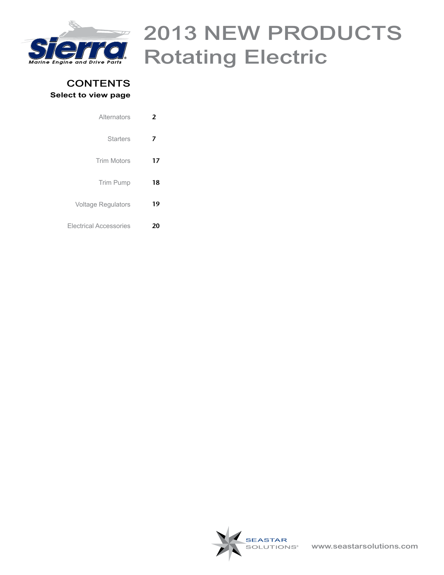<span id="page-0-0"></span>

### **CONTENTS Select to view page**

| 2  | Alternators                   |
|----|-------------------------------|
| 7  | <b>Starters</b>               |
| 17 | <b>Trim Motors</b>            |
| 18 | <b>Trim Pump</b>              |
| 19 | <b>Voltage Regulators</b>     |
|    | <b>Electrical Accessories</b> |

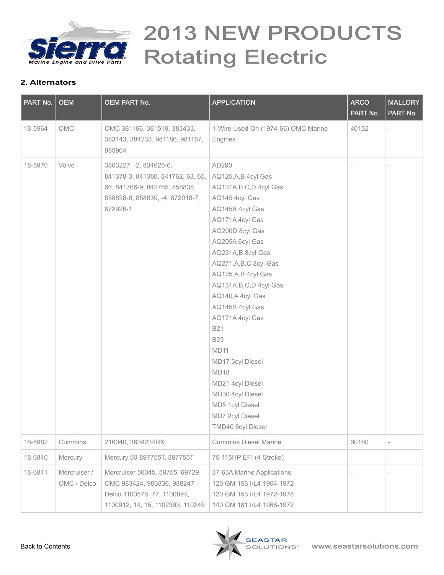<span id="page-1-0"></span>

| PART No. | <b>OEM</b>                  | <b>OEM PART No.</b>                                                                                                                         | <b>APPLICATION</b>                                                                                                                                                                                                                                                                                                                                                                                                                                                                           | <b>ARCO</b><br>PART No. | <b>MALLORY</b><br>PART No. |
|----------|-----------------------------|---------------------------------------------------------------------------------------------------------------------------------------------|----------------------------------------------------------------------------------------------------------------------------------------------------------------------------------------------------------------------------------------------------------------------------------------------------------------------------------------------------------------------------------------------------------------------------------------------------------------------------------------------|-------------------------|----------------------------|
| 18-5964  | OMC                         | OMC 381166, 381519, 383433,<br>383443, 384233, 981186, 981187,<br>985964                                                                    | 1-Wire Used On (1974-66) OMC Marine<br>Engines                                                                                                                                                                                                                                                                                                                                                                                                                                               | 40152                   |                            |
| 18-5970  | Volvo                       | 3803227, -2, 834625-6,<br>841378-3, 841380, 841762, 63, 65,<br>66, 841766-9, 842765, 858838,<br>858838-6, 858839, -4, 872018-7,<br>872926-1 | AD290<br>AQ125,A,B 4cyl Gas<br>AQ131A, B, C, D 4cyl Gas<br>AQ145 4cyl Gas<br>AQ145B 4cyl Gas<br>AQ171A 4cyl Gas<br>AQ200D 8cyl Gas<br>AQ205A 6cyl Gas<br>AQ231A,B 8cyl Gas<br>AQ271, A, B, C 8cyl Gas<br>AQ125,A,B 4cyl Gas<br>AQ131A, B, C, D 4cyl Gas<br>AQ140, A 4cyl Gas<br>AQ145B 4cyl Gas<br>AQ171A 4cyl Gas<br><b>B21</b><br><b>B23</b><br><b>MD11</b><br>MD17 3cyl Diesel<br>MD18<br>MD21 4cyl Diesel<br>MD30 4cyl Diesel<br>MD5 1cyl Diesel<br>MD7 2cyl Diesel<br>TMD40 6cyl Diesel |                         | $\overline{a}$             |
| 18-5982  | Cummins                     | 216040, 3604234RX                                                                                                                           | <b>Cummins Diesel Marine</b>                                                                                                                                                                                                                                                                                                                                                                                                                                                                 | 60160                   | $\overline{\phantom{a}}$   |
| 18-6840  | Mercury                     | Mercury 50-897755T, 897755T                                                                                                                 | 75-115HP EFI (4-Stroke)                                                                                                                                                                                                                                                                                                                                                                                                                                                                      |                         | $\overline{\phantom{0}}$   |
| 18-6841  | Mercruiser /<br>OMC / Delco | Mercruiser 56045, 59755, 69729<br>OMC 983424, 983836, 988247<br>Delco 1100576, 77, 1100894,<br>1100912, 14, 15, 1102393, 110249             | 37-63A Marine Applications<br>120 GM 153 I/L4 1964-1972<br>120 GM 153 I/L4 1972-1978<br>140 GM 181 I/L4 1968-1972                                                                                                                                                                                                                                                                                                                                                                            |                         |                            |

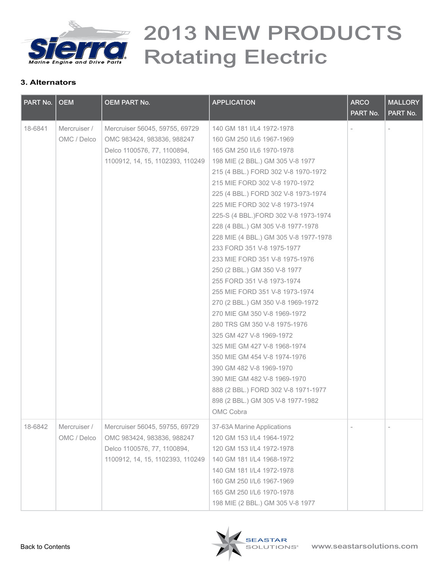

| PART No. | <b>OEM</b>                  | <b>OEM PART No.</b>                                                                                                             | <b>APPLICATION</b>                                                                                                                                                                                                                                                                                                                                                                                                                                                                                                                                                                                                                                                                                                                                                                                                                                                                                                    | <b>ARCO</b><br>PART No. | <b>MALLORY</b><br>PART No. |
|----------|-----------------------------|---------------------------------------------------------------------------------------------------------------------------------|-----------------------------------------------------------------------------------------------------------------------------------------------------------------------------------------------------------------------------------------------------------------------------------------------------------------------------------------------------------------------------------------------------------------------------------------------------------------------------------------------------------------------------------------------------------------------------------------------------------------------------------------------------------------------------------------------------------------------------------------------------------------------------------------------------------------------------------------------------------------------------------------------------------------------|-------------------------|----------------------------|
| 18-6841  | Mercruiser /<br>OMC / Delco | Mercruiser 56045, 59755, 69729<br>OMC 983424, 983836, 988247<br>Delco 1100576, 77, 1100894,<br>1100912, 14, 15, 1102393, 110249 | 140 GM 181 I/L4 1972-1978<br>160 GM 250 I/L6 1967-1969<br>165 GM 250 I/L6 1970-1978<br>198 MIE (2 BBL.) GM 305 V-8 1977<br>215 (4 BBL.) FORD 302 V-8 1970-1972<br>215 MIE FORD 302 V-8 1970-1972<br>225 (4 BBL.) FORD 302 V-8 1973-1974<br>225 MIE FORD 302 V-8 1973-1974<br>225-S (4 BBL.)FORD 302 V-8 1973-1974<br>228 (4 BBL.) GM 305 V-8 1977-1978<br>228 MIE (4 BBL.) GM 305 V-8 1977-1978<br>233 FORD 351 V-8 1975-1977<br>233 MIE FORD 351 V-8 1975-1976<br>250 (2 BBL.) GM 350 V-8 1977<br>255 FORD 351 V-8 1973-1974<br>255 MIE FORD 351 V-8 1973-1974<br>270 (2 BBL.) GM 350 V-8 1969-1972<br>270 MIE GM 350 V-8 1969-1972<br>280 TRS GM 350 V-8 1975-1976<br>325 GM 427 V-8 1969-1972<br>325 MIE GM 427 V-8 1968-1974<br>350 MIE GM 454 V-8 1974-1976<br>390 GM 482 V-8 1969-1970<br>390 MIE GM 482 V-8 1969-1970<br>888 (2 BBL.) FORD 302 V-8 1971-1977<br>898 (2 BBL.) GM 305 V-8 1977-1982<br>OMC Cobra |                         |                            |
| 18-6842  | Mercruiser /<br>OMC / Delco | Mercruiser 56045, 59755, 69729<br>OMC 983424, 983836, 988247<br>Delco 1100576, 77, 1100894,<br>1100912, 14, 15, 1102393, 110249 | 37-63A Marine Applications<br>120 GM 153 I/L4 1964-1972<br>120 GM 153 I/L4 1972-1978<br>140 GM 181 I/L4 1968-1972<br>140 GM 181 I/L4 1972-1978<br>160 GM 250 I/L6 1967-1969<br>165 GM 250 I/L6 1970-1978<br>198 MIE (2 BBL.) GM 305 V-8 1977                                                                                                                                                                                                                                                                                                                                                                                                                                                                                                                                                                                                                                                                          |                         |                            |

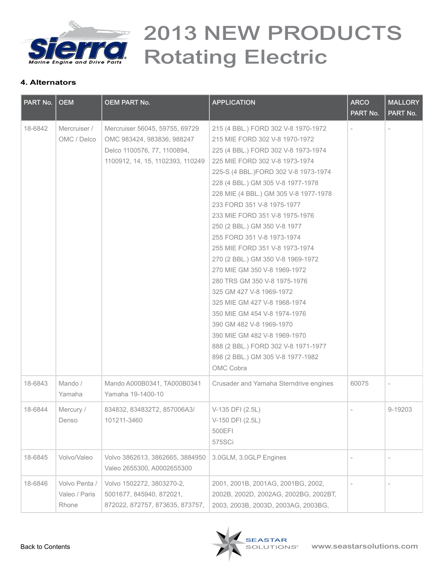

| PART No. | <b>OEM</b>                              | <b>OEM PART No.</b>                                                                                                             | <b>APPLICATION</b>                                                                                                                                                                                                                                                                                                                                                                                                                                                                                                                                                                                                                                                                                                                                                                         | <b>ARCO</b><br>PART No. | <b>MALLORY</b><br>PART No. |
|----------|-----------------------------------------|---------------------------------------------------------------------------------------------------------------------------------|--------------------------------------------------------------------------------------------------------------------------------------------------------------------------------------------------------------------------------------------------------------------------------------------------------------------------------------------------------------------------------------------------------------------------------------------------------------------------------------------------------------------------------------------------------------------------------------------------------------------------------------------------------------------------------------------------------------------------------------------------------------------------------------------|-------------------------|----------------------------|
| 18-6842  | Mercruiser /<br>OMC / Delco             | Mercruiser 56045, 59755, 69729<br>OMC 983424, 983836, 988247<br>Delco 1100576, 77, 1100894,<br>1100912, 14, 15, 1102393, 110249 | 215 (4 BBL.) FORD 302 V-8 1970-1972<br>215 MIE FORD 302 V-8 1970-1972<br>225 (4 BBL.) FORD 302 V-8 1973-1974<br>225 MIE FORD 302 V-8 1973-1974<br>225-S (4 BBL.)FORD 302 V-8 1973-1974<br>228 (4 BBL.) GM 305 V-8 1977-1978<br>228 MIE (4 BBL.) GM 305 V-8 1977-1978<br>233 FORD 351 V-8 1975-1977<br>233 MIE FORD 351 V-8 1975-1976<br>250 (2 BBL.) GM 350 V-8 1977<br>255 FORD 351 V-8 1973-1974<br>255 MIE FORD 351 V-8 1973-1974<br>270 (2 BBL.) GM 350 V-8 1969-1972<br>270 MIE GM 350 V-8 1969-1972<br>280 TRS GM 350 V-8 1975-1976<br>325 GM 427 V-8 1969-1972<br>325 MIE GM 427 V-8 1968-1974<br>350 MIE GM 454 V-8 1974-1976<br>390 GM 482 V-8 1969-1970<br>390 MIE GM 482 V-8 1969-1970<br>888 (2 BBL.) FORD 302 V-8 1971-1977<br>898 (2 BBL.) GM 305 V-8 1977-1982<br>OMC Cobra |                         |                            |
| 18-6843  | Mando /<br>Yamaha                       | Mando A000B0341, TA000B0341<br>Yamaha 19-1400-10                                                                                | Crusader and Yamaha Sterndrive engines                                                                                                                                                                                                                                                                                                                                                                                                                                                                                                                                                                                                                                                                                                                                                     | 60075                   |                            |
| 18-6844  | Mercury /<br>Denso                      | 834832, 834832T2, 857006A3/<br>101211-3460                                                                                      | V-135 DFI (2.5L)<br>V-150 DFI (2.5L)<br>500EFI<br>575SCi                                                                                                                                                                                                                                                                                                                                                                                                                                                                                                                                                                                                                                                                                                                                   |                         | 9-19203                    |
| 18-6845  | Volvo/Valeo                             | Volvo 3862613, 3862665, 3884950<br>Valeo 2655300, A0002655300                                                                   | 3.0GLM, 3.0GLP Engines                                                                                                                                                                                                                                                                                                                                                                                                                                                                                                                                                                                                                                                                                                                                                                     |                         |                            |
| 18-6846  | Volvo Penta /<br>Valeo / Paris<br>Rhone | Volvo 1502272, 3803270-2,<br>5001677, 845940, 872021,<br>872022, 872757, 873635, 873757,                                        | 2001, 2001B, 2001AG, 2001BG, 2002,<br>2002B, 2002D, 2002AG, 2002BG, 2002BT,<br>2003, 2003B, 2003D, 2003AG, 2003BG,                                                                                                                                                                                                                                                                                                                                                                                                                                                                                                                                                                                                                                                                         |                         |                            |

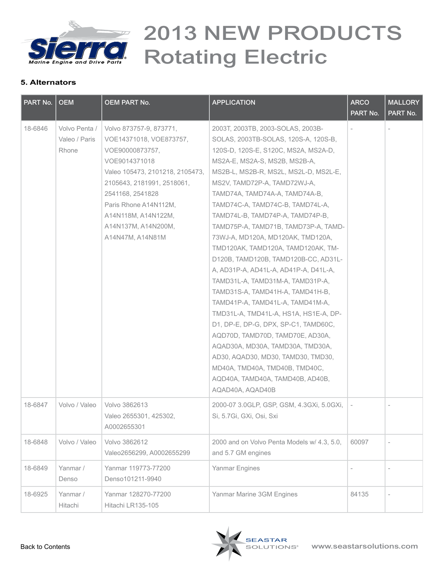

| PART No. | <b>OEM</b>                              | OEM PART No.                                                                                                                                                                                                                                                           | <b>APPLICATION</b>                                                                                                                                                                                                                                                                                                                                                                                                                                                                                                                                                                                                                                                                                                                                                                                                                                                                                                                             | <b>ARCO</b><br>PART No. | <b>MALLORY</b><br>PART No. |
|----------|-----------------------------------------|------------------------------------------------------------------------------------------------------------------------------------------------------------------------------------------------------------------------------------------------------------------------|------------------------------------------------------------------------------------------------------------------------------------------------------------------------------------------------------------------------------------------------------------------------------------------------------------------------------------------------------------------------------------------------------------------------------------------------------------------------------------------------------------------------------------------------------------------------------------------------------------------------------------------------------------------------------------------------------------------------------------------------------------------------------------------------------------------------------------------------------------------------------------------------------------------------------------------------|-------------------------|----------------------------|
| 18-6846  | Volvo Penta /<br>Valeo / Paris<br>Rhone | Volvo 873757-9, 873771,<br>VOE14371018, VOE873757,<br>VOE90000873757,<br>VOE9014371018<br>Valeo 105473, 2101218, 2105473,<br>2105643, 2181991, 2518061,<br>2541168, 2541828<br>Paris Rhone A14N112M,<br>A14N118M, A14N122M,<br>A14N137M, A14N200M,<br>A14N47M, A14N81M | 2003T, 2003TB, 2003-SOLAS, 2003B-<br>SOLAS, 2003TB-SOLAS, 120S-A, 120S-B,<br>120S-D, 120S-E, S120C, MS2A, MS2A-D,<br>MS2A-E, MS2A-S, MS2B, MS2B-A,<br>MS2B-L, MS2B-R, MS2L, MS2L-D, MS2L-E,<br>MS2V, TAMD72P-A, TAMD72WJ-A,<br>TAMD74A, TAMD74A-A, TAMD74A-B,<br>TAMD74C-A, TAMD74C-B, TAMD74L-A,<br>TAMD74L-B, TAMD74P-A, TAMD74P-B,<br>TAMD75P-A, TAMD71B, TAMD73P-A, TAMD-<br>73WJ-A, MD120A, MD120AK, TMD120A,<br>TMD120AK, TAMD120A, TAMD120AK, TM-<br>D120B, TAMD120B, TAMD120B-CC, AD31L-<br>A, AD31P-A, AD41L-A, AD41P-A, D41L-A,<br>TAMD31L-A, TAMD31M-A, TAMD31P-A,<br>TAMD31S-A, TAMD41H-A, TAMD41H-B,<br>TAMD41P-A, TAMD41L-A, TAMD41M-A,<br>TMD31L-A, TMD41L-A, HS1A, HS1E-A, DP-<br>D1, DP-E, DP-G, DPX, SP-C1, TAMD60C,<br>AQD70D, TAMD70D, TAMD70E, AD30A,<br>AQAD30A, MD30A, TAMD30A, TMD30A,<br>AD30, AQAD30, MD30, TAMD30, TMD30,<br>MD40A, TMD40A, TMD40B, TMD40C,<br>AQD40A, TAMD40A, TAMD40B, AD40B,<br>AQAD40A, AQAD40B |                         |                            |
| 18-6847  | Volvo / Valeo                           | Volvo 3862613<br>Valeo 2655301, 425302,<br>A0002655301                                                                                                                                                                                                                 | 2000-07 3.0GLP, GSP, GSM, 4.3GXi, 5.0GXi,<br>Si, 5.7Gi, GXi, Osi, Sxi                                                                                                                                                                                                                                                                                                                                                                                                                                                                                                                                                                                                                                                                                                                                                                                                                                                                          |                         |                            |
| 18-6848  | Volvo / Valeo                           | Volvo 3862612<br>Valeo2656299, A0002655299                                                                                                                                                                                                                             | 2000 and on Volvo Penta Models w/ 4.3, 5.0,<br>and 5.7 GM engines                                                                                                                                                                                                                                                                                                                                                                                                                                                                                                                                                                                                                                                                                                                                                                                                                                                                              | 60097                   | $\overline{a}$             |
| 18-6849  | Yanmar /<br>Denso                       | Yanmar 119773-77200<br>Denso101211-9940                                                                                                                                                                                                                                | Yanmar Engines                                                                                                                                                                                                                                                                                                                                                                                                                                                                                                                                                                                                                                                                                                                                                                                                                                                                                                                                 |                         |                            |
| 18-6925  | Yanmar /<br>Hitachi                     | Yanmar 128270-77200<br>Hitachi LR135-105                                                                                                                                                                                                                               | Yanmar Marine 3GM Engines                                                                                                                                                                                                                                                                                                                                                                                                                                                                                                                                                                                                                                                                                                                                                                                                                                                                                                                      | 84135                   |                            |

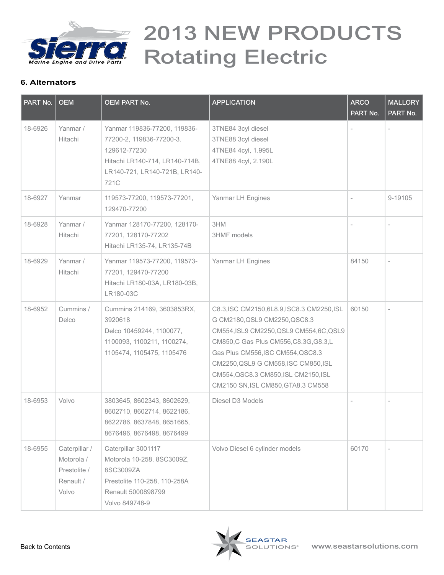

| PART No. | <b>OEM</b>                                                        | <b>OEM PART No.</b>                                                                                                                                 | <b>APPLICATION</b>                                                                                                                                                                                                                                                                                                             | <b>ARCO</b><br>PART No.  | <b>MALLORY</b><br>PART No. |
|----------|-------------------------------------------------------------------|-----------------------------------------------------------------------------------------------------------------------------------------------------|--------------------------------------------------------------------------------------------------------------------------------------------------------------------------------------------------------------------------------------------------------------------------------------------------------------------------------|--------------------------|----------------------------|
| 18-6926  | Yanmar /<br>Hitachi                                               | Yanmar 119836-77200, 119836-<br>77200-2, 119836-77200-3.<br>129612-77230<br>Hitachi LR140-714, LR140-714B,<br>LR140-721, LR140-721B, LR140-<br>721C | 3TNE84 3cyl diesel<br>3TNE88 3cyl diesel<br>4TNE84 4cyl, 1.995L<br>4TNE88 4cyl, 2.190L                                                                                                                                                                                                                                         |                          |                            |
| 18-6927  | Yanmar                                                            | 119573-77200, 119573-77201,<br>129470-77200                                                                                                         | Yanmar LH Engines                                                                                                                                                                                                                                                                                                              |                          | 9-19105                    |
| 18-6928  | Yanmar /<br>Hitachi                                               | Yanmar 128170-77200, 128170-<br>77201, 128170-77202<br>Hitachi LR135-74, LR135-74B                                                                  | 3HM<br>3HMF models                                                                                                                                                                                                                                                                                                             |                          |                            |
| 18-6929  | Yanmar /<br>Hitachi                                               | Yanmar 119573-77200, 119573-<br>77201, 129470-77200<br>Hitachi LR180-03A, LR180-03B,<br>LR180-03C                                                   | Yanmar LH Engines                                                                                                                                                                                                                                                                                                              | 84150                    | $\overline{\phantom{a}}$   |
| 18-6952  | Cummins /<br>Delco                                                | Cummins 214169, 3603853RX,<br>3920618<br>Delco 10459244, 1100077,<br>1100093, 1100211, 1100274,<br>1105474, 1105475, 1105476                        | C8.3, ISC CM2150, 6L8.9, ISC8.3 CM2250, ISL<br>G CM2180, QSL9 CM2250, QSC8.3<br>CM554, ISL9 CM2250, QSL9 CM554, 6C, QSL9<br>CM850, C Gas Plus CM556, C8.3G, G8.3, L<br>Gas Plus CM556, ISC CM554, QSC8.3<br>CM2250, QSL9 G CM558, ISC CM850, ISL<br>CM554, QSC8.3 CM850, ISL CM2150, ISL<br>CM2150 SN, ISL CM850, GTA8.3 CM558 | 60150                    |                            |
| 18-6953  | Volvo                                                             | 3803645, 8602343, 8602629,<br>8602710, 8602714, 8622186,<br>8622786, 8637848, 8651665,<br>8676496, 8676498, 8676499                                 | Diesel D3 Models                                                                                                                                                                                                                                                                                                               | $\overline{\phantom{a}}$ | $\overline{\phantom{a}}$   |
| 18-6955  | Caterpillar /<br>Motorola /<br>Prestolite /<br>Renault /<br>Volvo | Caterpillar 3001117<br>Motorola 10-258, 8SC3009Z,<br>8SC3009ZA<br>Prestolite 110-258, 110-258A<br>Renault 5000898799<br>Volvo 849748-9              | Volvo Diesel 6 cylinder models                                                                                                                                                                                                                                                                                                 | 60170                    | $\overline{\phantom{a}}$   |

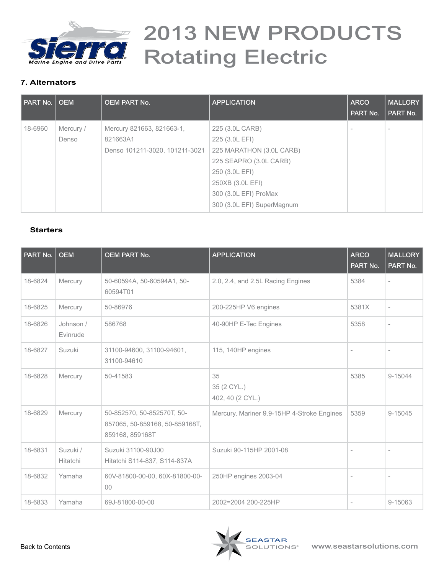<span id="page-6-0"></span>

### **7. Alternators**

| PART No. | l OEM              | <b>OEM PART No.</b>                                                     | <b>APPLICATION</b>                                                                                                                                                                   | <b>ARCO</b><br>PART No. | <b>MALLORY</b><br>PART No. |
|----------|--------------------|-------------------------------------------------------------------------|--------------------------------------------------------------------------------------------------------------------------------------------------------------------------------------|-------------------------|----------------------------|
| 18-6960  | Mercury /<br>Denso | Mercury 821663, 821663-1,<br>821663A1<br>Denso 101211-3020, 101211-3021 | 225 (3.0L CARB)<br>225 (3.0L EFI)<br>225 MARATHON (3.0L CARB)<br>225 SEAPRO (3.0L CARB)<br>250 (3.0L EFI)<br>250XB (3.0L EFI)<br>300 (3.0L EFI) ProMax<br>300 (3.0L EFI) SuperMagnum |                         |                            |

#### **Starters**

| PART No. | <b>OEM</b>            | <b>OEM PART No.</b>                                                             | <b>APPLICATION</b>                         | <b>ARCO</b><br>PART No. | <b>MALLORY</b><br>PART No. |
|----------|-----------------------|---------------------------------------------------------------------------------|--------------------------------------------|-------------------------|----------------------------|
| 18-6824  | Mercury               | 50-60594A, 50-60594A1, 50-<br>60594T01                                          | 2.0, 2.4, and 2.5L Racing Engines          | 5384                    |                            |
| 18-6825  | Mercury               | 50-86976                                                                        | 200-225HP V6 engines                       | 5381X                   | $\overline{\phantom{a}}$   |
| 18-6826  | Johnson /<br>Evinrude | 586768                                                                          | 40-90HP E-Tec Engines                      | 5358                    | $\overline{\phantom{a}}$   |
| 18-6827  | Suzuki                | 31100-94600, 31100-94601,<br>31100-94610                                        | 115, 140HP engines                         | ÷                       |                            |
| 18-6828  | Mercury               | 50-41583                                                                        | 35<br>35 (2 CYL.)<br>402, 40 (2 CYL.)      | 5385                    | 9-15044                    |
| 18-6829  | Mercury               | 50-852570, 50-852570T, 50-<br>857065, 50-859168, 50-859168T,<br>859168, 859168T | Mercury, Mariner 9.9-15HP 4-Stroke Engines | 5359                    | 9-15045                    |
| 18-6831  | Suzuki /<br>Hitatchi  | Suzuki 31100-90J00<br>Hitatchi S114-837, S114-837A                              | Suzuki 90-115HP 2001-08                    |                         |                            |
| 18-6832  | Yamaha                | 60V-81800-00-00, 60X-81800-00-<br>$00\,$                                        | 250HP engines 2003-04                      |                         |                            |
| 18-6833  | Yamaha                | 69J-81800-00-00                                                                 | 2002=2004 200-225HP                        |                         | 9-15063                    |

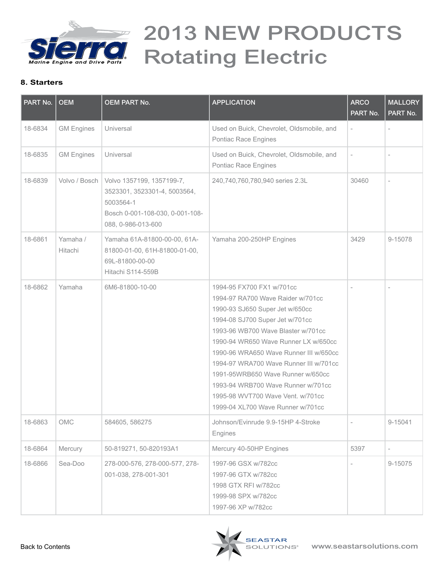

| PART No. | <b>OEM</b>             | <b>OEM PART No.</b>                                                                                                             | <b>APPLICATION</b>                                                                                                                                                                                                                                                                                                                                                                                                                                          | <b>ARCO</b><br>PART No.  | <b>MALLORY</b><br>PART No. |
|----------|------------------------|---------------------------------------------------------------------------------------------------------------------------------|-------------------------------------------------------------------------------------------------------------------------------------------------------------------------------------------------------------------------------------------------------------------------------------------------------------------------------------------------------------------------------------------------------------------------------------------------------------|--------------------------|----------------------------|
| 18-6834  | <b>GM Engines</b>      | Universal                                                                                                                       | Used on Buick, Chevrolet, Oldsmobile, and<br>Pontiac Race Engines                                                                                                                                                                                                                                                                                                                                                                                           |                          |                            |
| 18-6835  | <b>GM Engines</b>      | Universal                                                                                                                       | Used on Buick, Chevrolet, Oldsmobile, and<br>Pontiac Race Engines                                                                                                                                                                                                                                                                                                                                                                                           | $\overline{\phantom{a}}$ |                            |
| 18-6839  | Volvo / Bosch          | Volvo 1357199, 1357199-7,<br>3523301, 3523301-4, 5003564,<br>5003564-1<br>Bosch 0-001-108-030, 0-001-108-<br>088, 0-986-013-600 | 240,740,760,780,940 series 2.3L                                                                                                                                                                                                                                                                                                                                                                                                                             | 30460                    |                            |
| 18-6861  | Yamaha /<br>Hitachi    | Yamaha 61A-81800-00-00, 61A-<br>81800-01-00, 61H-81800-01-00,<br>69L-81800-00-00<br>Hitachi S114-559B                           | Yamaha 200-250HP Engines                                                                                                                                                                                                                                                                                                                                                                                                                                    | 3429                     | 9-15078                    |
| 18-6862  | Yamaha                 | 6M6-81800-10-00                                                                                                                 | 1994-95 FX700 FX1 w/701cc<br>1994-97 RA700 Wave Raider w/701cc<br>1990-93 SJ650 Super Jet w/650cc<br>1994-08 SJ700 Super Jet w/701cc<br>1993-96 WB700 Wave Blaster w/701cc<br>1990-94 WR650 Wave Runner LX w/650cc<br>1990-96 WRA650 Wave Runner III w/650cc<br>1994-97 WRA700 Wave Runner III w/701cc<br>1991-95WRB650 Wave Runner w/650cc<br>1993-94 WRB700 Wave Runner w/701cc<br>1995-98 WVT700 Wave Vent. w/701cc<br>1999-04 XL700 Wave Runner w/701cc |                          | $\overline{a}$             |
| 18-6863  | $\bigcirc \mathsf{MC}$ | 584605, 586275                                                                                                                  | Johnson/Evinrude 9.9-15HP 4-Stroke<br>Engines                                                                                                                                                                                                                                                                                                                                                                                                               |                          | 9-15041                    |
| 18-6864  | Mercury                | 50-819271, 50-820193A1                                                                                                          | Mercury 40-50HP Engines                                                                                                                                                                                                                                                                                                                                                                                                                                     | 5397                     | $\overline{\phantom{a}}$   |
| 18-6866  | Sea-Doo                | 278-000-576, 278-000-577, 278-<br>001-038, 278-001-301                                                                          | 1997-96 GSX w/782cc<br>1997-96 GTX w/782cc<br>1998 GTX RFI w/782cc<br>1999-98 SPX w/782cc<br>1997-96 XP w/782cc                                                                                                                                                                                                                                                                                                                                             |                          | 9-15075                    |

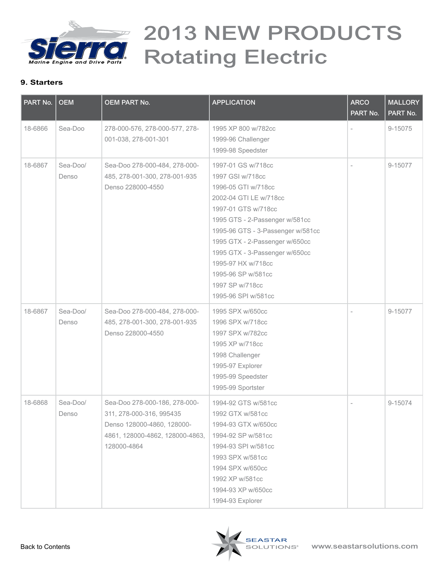

| PART No. | <b>OEM</b>        | <b>OEM PART No.</b>                                                                                                                       | <b>APPLICATION</b>                                                                                                                                                                                                                                                                                                                              | <b>ARCO</b><br>PART No. | <b>MALLORY</b><br>PART No. |
|----------|-------------------|-------------------------------------------------------------------------------------------------------------------------------------------|-------------------------------------------------------------------------------------------------------------------------------------------------------------------------------------------------------------------------------------------------------------------------------------------------------------------------------------------------|-------------------------|----------------------------|
| 18-6866  | Sea-Doo           | 278-000-576, 278-000-577, 278-<br>001-038, 278-001-301                                                                                    | 1995 XP 800 w/782cc<br>1999-96 Challenger<br>1999-98 Speedster                                                                                                                                                                                                                                                                                  |                         | 9-15075                    |
| 18-6867  | Sea-Doo/<br>Denso | Sea-Doo 278-000-484, 278-000-<br>485, 278-001-300, 278-001-935<br>Denso 228000-4550                                                       | 1997-01 GS w/718cc<br>1997 GSI w/718cc<br>1996-05 GTI w/718cc<br>2002-04 GTI LE w/718cc<br>1997-01 GTS w/718cc<br>1995 GTS - 2-Passenger w/581cc<br>1995-96 GTS - 3-Passenger w/581cc<br>1995 GTX - 2-Passenger w/650cc<br>1995 GTX - 3-Passenger w/650cc<br>1995-97 HX w/718cc<br>1995-96 SP w/581cc<br>1997 SP w/718cc<br>1995-96 SPI w/581cc |                         | 9-15077                    |
| 18-6867  | Sea-Doo/<br>Denso | Sea-Doo 278-000-484, 278-000-<br>485, 278-001-300, 278-001-935<br>Denso 228000-4550                                                       | 1995 SPX w/650cc<br>1996 SPX w/718cc<br>1997 SPX w/782cc<br>1995 XP w/718cc<br>1998 Challenger<br>1995-97 Explorer<br>1995-99 Speedster<br>1995-99 Sportster                                                                                                                                                                                    |                         | 9-15077                    |
| 18-6868  | Sea-Doo/<br>Denso | Sea-Doo 278-000-186, 278-000-<br>311, 278-000-316, 995435<br>Denso 128000-4860, 128000-<br>4861, 128000-4862, 128000-4863,<br>128000-4864 | 1994-92 GTS w/581cc<br>1992 GTX w/581cc<br>1994-93 GTX w/650cc<br>1994-92 SP w/581cc<br>1994-93 SPI w/581cc<br>1993 SPX w/581cc<br>1994 SPX w/650cc<br>1992 XP w/581cc<br>1994-93 XP w/650cc<br>1994-93 Explorer                                                                                                                                |                         | 9-15074                    |

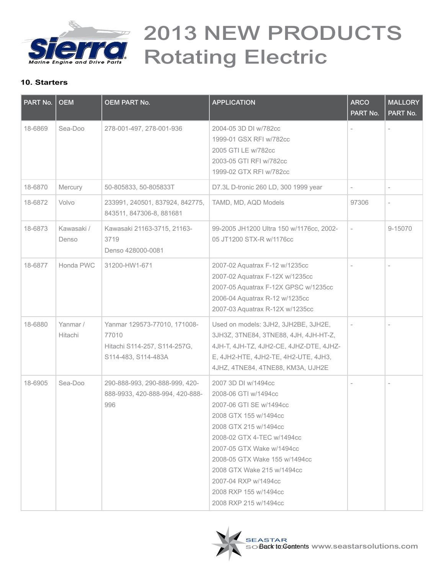

| PART No. | <b>OEM</b>          | <b>OEM PART No.</b>                                                                          | <b>APPLICATION</b>                                                                                                                                                                                                                                                                                                           | <b>ARCO</b><br>PART No.  | <b>MALLORY</b><br>PART No. |
|----------|---------------------|----------------------------------------------------------------------------------------------|------------------------------------------------------------------------------------------------------------------------------------------------------------------------------------------------------------------------------------------------------------------------------------------------------------------------------|--------------------------|----------------------------|
| 18-6869  | Sea-Doo             | 278-001-497, 278-001-936                                                                     | 2004-05 3D DI w/782cc<br>1999-01 GSX RFI w/782cc<br>2005 GTI LE w/782cc<br>2003-05 GTI RFI w/782cc<br>1999-02 GTX RFI w/782cc                                                                                                                                                                                                |                          |                            |
| 18-6870  | Mercury             | 50-805833, 50-805833T                                                                        | D7.3L D-tronic 260 LD, 300 1999 year                                                                                                                                                                                                                                                                                         | $\overline{\phantom{a}}$ | $\overline{\phantom{a}}$   |
| 18-6872  | Volvo               | 233991, 240501, 837924, 842775,<br>843511, 847306-8, 881681                                  | TAMD, MD, AQD Models                                                                                                                                                                                                                                                                                                         | 97306                    | $\overline{\phantom{a}}$   |
| 18-6873  | Kawasaki /<br>Denso | Kawasaki 21163-3715, 21163-<br>3719<br>Denso 428000-0081                                     | 99-2005 JH1200 Ultra 150 w/1176cc, 2002-<br>05 JT1200 STX-R w/1176cc                                                                                                                                                                                                                                                         | $\sim$                   | 9-15070                    |
| 18-6877  | Honda PWC           | 31200-HW1-671                                                                                | 2007-02 Aquatrax F-12 w/1235cc<br>2007-02 Aquatrax F-12X w/1235cc<br>2007-05 Aquatrax F-12X GPSC w/1235cc<br>2006-04 Aquatrax R-12 w/1235cc<br>2007-03 Aquatrax R-12X w/1235cc                                                                                                                                               |                          |                            |
| 18-6880  | Yanmar /<br>Hitachi | Yanmar 129573-77010, 171008-<br>77010<br>Hitachi S114-257, S114-257G,<br>S114-483, S114-483A | Used on models: 3JH2, 3JH2BE, 3JH2E,<br>3JH3Z, 3TNE84, 3TNE88, 4JH, 4JH-HT-Z,<br>4JH-T, 4JH-TZ, 4JH2-CE, 4JHZ-DTE, 4JHZ-<br>E, 4JH2-HTE, 4JH2-TE, 4H2-UTE, 4JH3,<br>4JHZ, 4TNE84, 4TNE88, KM3A, UJH2E                                                                                                                        |                          |                            |
| 18-6905  | Sea-Doo             | 290-888-993, 290-888-999, 420-<br>888-9933, 420-888-994, 420-888-<br>996                     | 2007 3D DI w/1494cc<br>2008-06 GTI w/1494cc<br>2007-06 GTI SE w/1494cc<br>2008 GTX 155 w/1494cc<br>2008 GTX 215 w/1494cc<br>2008-02 GTX 4-TEC w/1494cc<br>2007-05 GTX Wake w/1494cc<br>2008-05 GTX Wake 155 w/1494cc<br>2008 GTX Wake 215 w/1494cc<br>2007-04 RXP w/1494cc<br>2008 RXP 155 w/1494cc<br>2008 RXP 215 w/1494cc | ÷                        | $\sim$                     |

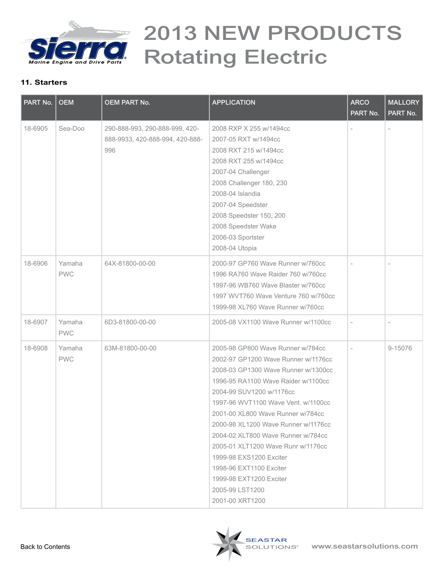

| PART No. | <b>OEM</b>           | <b>OEM PART No.</b>                                                      | <b>APPLICATION</b>                                                                                                                                                                                                                                                                                                                                                                                                                                                                                       | <b>ARCO</b><br>PART No. | <b>MALLORY</b><br>PART No. |
|----------|----------------------|--------------------------------------------------------------------------|----------------------------------------------------------------------------------------------------------------------------------------------------------------------------------------------------------------------------------------------------------------------------------------------------------------------------------------------------------------------------------------------------------------------------------------------------------------------------------------------------------|-------------------------|----------------------------|
| 18-6905  | Sea-Doo              | 290-888-993, 290-888-999, 420-<br>888-9933, 420-888-994, 420-888-<br>996 | 2008 RXP X 255 w/1494cc<br>2007-05 RXT w/1494cc<br>2008 RXT 215 w/1494cc<br>2008 RXT 255 w/1494cc<br>2007-04 Challenger<br>2008 Challenger 180, 230<br>2008-04 Islandia<br>2007-04 Speedster<br>2008 Speedster 150, 200<br>2008 Speedster Wake<br>2006-03 Sportster<br>2008-04 Utopia                                                                                                                                                                                                                    |                         |                            |
| 18-6906  | Yamaha<br><b>PWC</b> | 64X-81800-00-00                                                          | 2000-97 GP760 Wave Runner w/760cc<br>1996 RA760 Wave Raider 760 w/760cc<br>1997-96 WB760 Wave Blaster w/760cc<br>1997 WVT760 Wave Venture 760 w/760cc<br>1999-98 XL760 Wave Runner w/760cc                                                                                                                                                                                                                                                                                                               |                         |                            |
| 18-6907  | Yamaha<br><b>PWC</b> | 6D3-81800-00-00                                                          | 2005-08 VX1100 Wave Runner w/1100cc                                                                                                                                                                                                                                                                                                                                                                                                                                                                      | $\overline{a}$          | $\overline{a}$             |
| 18-6908  | Yamaha<br><b>PWC</b> | 63M-81800-00-00                                                          | 2005-98 GP800 Wave Runner w/784cc<br>2002-97 GP1200 Wave Runner w/1176cc<br>2008-03 GP1300 Wave Runner w/1300cc<br>1996-95 RA1100 Wave Raider w/1100cc<br>2004-99 SUV1200 w/1176cc<br>1997-96 WVT1100 Wave Vent. w/1100cc<br>2001-00 XL800 Wave Runner w/784cc<br>2000-98 XL1200 Wave Runner w/1176cc<br>2004-02 XLT800 Wave Runner w/784cc<br>2005-01 XLT1200 Wave Runr w/1176cc<br>1999-98 EXS1200 Exciter<br>1998-96 EXT1100 Exciter<br>1999-98 EXT1200 Exciter<br>2005-99 LST1200<br>2001-00 XRT1200 |                         | 9-15076                    |

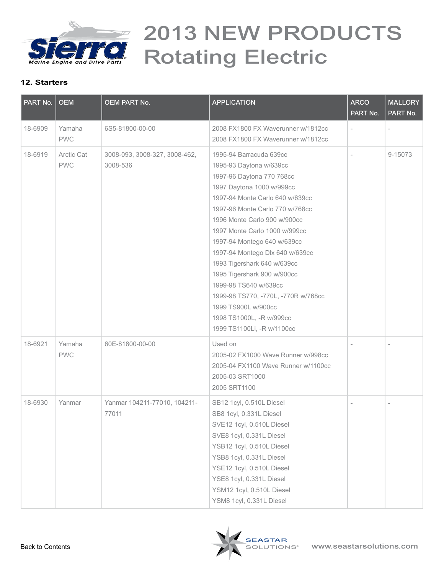

| PART No. | <b>OEM</b>               | <b>OEM PART No.</b>                       | <b>APPLICATION</b>                                                                                                                                                                                                                                                                                                                                                                                                                                                                                                                   | <b>ARCO</b><br>PART No. | <b>MALLORY</b><br>PART No. |
|----------|--------------------------|-------------------------------------------|--------------------------------------------------------------------------------------------------------------------------------------------------------------------------------------------------------------------------------------------------------------------------------------------------------------------------------------------------------------------------------------------------------------------------------------------------------------------------------------------------------------------------------------|-------------------------|----------------------------|
| 18-6909  | Yamaha<br><b>PWC</b>     | 6S5-81800-00-00                           | 2008 FX1800 FX Waverunner w/1812cc<br>2008 FX1800 FX Waverunner w/1812cc                                                                                                                                                                                                                                                                                                                                                                                                                                                             |                         |                            |
| 18-6919  | Arctic Cat<br><b>PWC</b> | 3008-093, 3008-327, 3008-462,<br>3008-536 | 1995-94 Barracuda 639cc<br>1995-93 Daytona w/639cc<br>1997-96 Daytona 770 768cc<br>1997 Daytona 1000 w/999cc<br>1997-94 Monte Carlo 640 w/639cc<br>1997-96 Monte Carlo 770 w/768cc<br>1996 Monte Carlo 900 w/900cc<br>1997 Monte Carlo 1000 w/999cc<br>1997-94 Montego 640 w/639cc<br>1997-94 Montego Dlx 640 w/639cc<br>1993 Tigershark 640 w/639cc<br>1995 Tigershark 900 w/900cc<br>1999-98 TS640 w/639cc<br>1999-98 TS770, -770L, -770R w/768cc<br>1999 TS900L w/900cc<br>1998 TS1000L, -R w/999cc<br>1999 TS1100Li, -R w/1100cc |                         | 9-15073                    |
| 18-6921  | Yamaha<br><b>PWC</b>     | 60E-81800-00-00                           | Used on<br>2005-02 FX1000 Wave Runner w/998cc<br>2005-04 FX1100 Wave Runner w/1100cc<br>2005-03 SRT1000<br>2005 SRT1100                                                                                                                                                                                                                                                                                                                                                                                                              |                         |                            |
| 18-6930  | Yanmar                   | Yanmar 104211-77010, 104211-<br>77011     | SB12 1cyl, 0.510L Diesel<br>SB8 1cyl, 0.331L Diesel<br>SVE12 1cyl, 0.510L Diesel<br>SVE8 1cyl, 0.331L Diesel<br>YSB12 1cyl, 0.510L Diesel<br>YSB8 1cyl, 0.331L Diesel<br>YSE12 1cyl, 0.510L Diesel<br>YSE8 1cyl, 0.331L Diesel<br>YSM12 1cyl, 0.510L Diesel<br>YSM8 1cyl, 0.331L Diesel                                                                                                                                                                                                                                              |                         |                            |

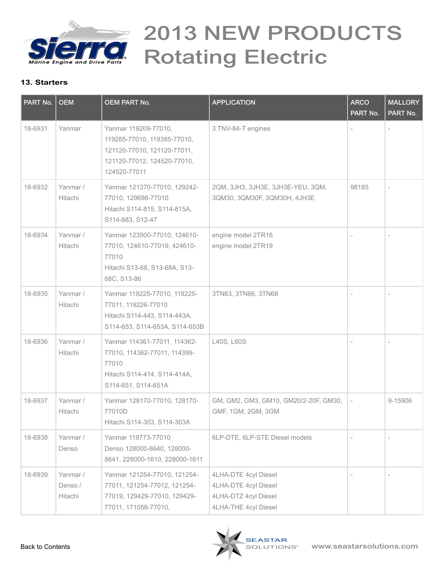

| PART No. | <b>OEM</b>                     | <b>OEM PART No.</b>                                                                                                               | <b>APPLICATION</b>                                                                           | <b>ARCO</b><br>PART No.  | <b>MALLORY</b><br>PART No. |
|----------|--------------------------------|-----------------------------------------------------------------------------------------------------------------------------------|----------------------------------------------------------------------------------------------|--------------------------|----------------------------|
| 18-6931  | Yanmar                         | Yanmar 119209-77010,<br>119285-77010, 119385-77010,<br>121120-77010, 121120-77011,<br>121120-77012, 124520-77010,<br>124520-77011 | 3 TNV-84-T engines                                                                           |                          |                            |
| 18-6932  | Yanmar /<br>Hitachi            | Yanmar 121370-77010, 129242-<br>77010, 129698-77010<br>Hitachi S114-815, S114-815A,<br>S114-883, S12-47                           | 2QM, 3JH3, 3JH3E, 3JH3E-YEU, 3QM,<br>3QM30, 3QM30F, 3QM30H, 4JH3E                            | 98185                    |                            |
| 18-6934  | Yanmar /<br>Hitachi            | Yanmar 123500-77010, 124610-<br>77010, 124610-77019, 424610-<br>77010<br>Hitachi S13-68, S13-68A, S13-<br>68C, S13-86             | engine model 2TR16<br>engine model 2TR19                                                     |                          |                            |
| 18-6935  | Yanmar /<br>Hitachi            | Yanmar 119225-77010, 119225-<br>77011, 119226-77010<br>Hitachi S114-443, S114-443A,<br>S114-653, S114-653A, S114-653B             | 3TN63, 3TN66, 3TN68                                                                          |                          |                            |
| 18-6936  | Yanmar /<br>Hitachi            | Yanmar 114361-77011, 114362-<br>77010, 114362-77011, 114399-<br>77010<br>Hitachi S114-414, S114-414A,<br>S114-651, S114-651A      | L40S, L60S                                                                                   |                          |                            |
| 18-6937  | Yanmar /<br>Hitachi            | Yanmar 128170-77010, 128170-<br>77010D<br>Hitachi S114-303, S114-303A                                                             | GM, GM2, GM3, GM10, GM20/2-20F, GM30,<br>GMF, 1GM, 2GM, 3GM                                  | $\overline{\phantom{a}}$ | 9-15906                    |
| 18-6938  | Yanmar /<br>Denso              | Yanmar 119773-77010<br>Denso 128000-8640, 128000-<br>8641, 228000-1610, 228000-1611                                               | 6LP-DTE, 6LP-STE Diesel models                                                               |                          |                            |
| 18-6939  | Yanmar /<br>Denso /<br>Hitachi | Yanmar 121254-77010, 121254-<br>77011, 121254-77012, 121254-<br>77019, 129429-77010, 129429-<br>77011, 171058-77010,              | 4LHA-DTE 4cyl Diesel<br>4LHA-DTE 4cyl Diesel<br>4LHA-DTZ 4cyl Diesel<br>4LHA-THE 4cyl Diesel |                          |                            |

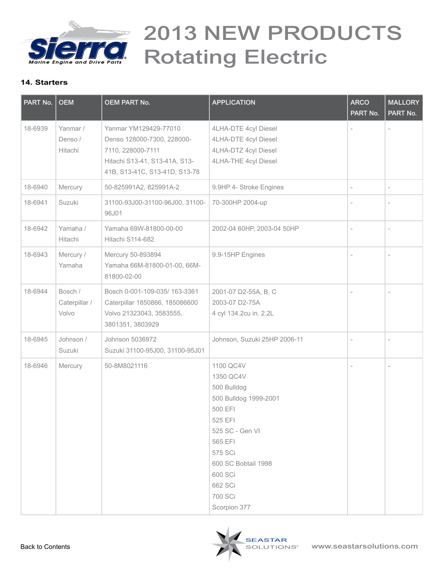

| PART No. | <b>OEM</b>                        | <b>OEM PART No.</b>                                                                                                                        | <b>APPLICATION</b>                                                                                                                                                                                           | <b>ARCO</b><br>PART No.  | <b>MALLORY</b><br>PART No. |
|----------|-----------------------------------|--------------------------------------------------------------------------------------------------------------------------------------------|--------------------------------------------------------------------------------------------------------------------------------------------------------------------------------------------------------------|--------------------------|----------------------------|
| 18-6939  | Yanmar /<br>Denso /<br>Hitachi    | Yanmar YM129429-77010<br>Denso 128000-7300, 228000-<br>7110, 228000-7111<br>Hitachi S13-41, S13-41A, S13-<br>41B, S13-41C, S13-41D, S13-78 | 4LHA-DTE 4cyl Diesel<br>4LHA-DTE 4cyl Diesel<br>4LHA-DTZ 4cyl Diesel<br>4LHA-THE 4cyl Diesel                                                                                                                 |                          |                            |
| 18-6940  | Mercury                           | 50-825991A2, 825991A-2                                                                                                                     | 9.9HP 4- Stroke Engines                                                                                                                                                                                      | $\overline{\phantom{a}}$ | $\overline{\phantom{a}}$   |
| 18-6941  | Suzuki                            | 31100-93J00-31100-96J00, 31100-<br>96J01                                                                                                   | 70-300HP 2004-up                                                                                                                                                                                             |                          |                            |
| 18-6942  | Yamaha /<br>Hitachi               | Yamaha 69W-81800-00-00<br>Hitachi S114-682                                                                                                 | 2002-04 60HP, 2003-04 50HP                                                                                                                                                                                   |                          |                            |
| 18-6943  | Mercury /<br>Yamaha               | Mercury 50-893894<br>Yamaha 66M-81800-01-00, 66M-<br>81800-02-00                                                                           | 9.9-15HP Engines                                                                                                                                                                                             |                          |                            |
| 18-6944  | Bosch /<br>Caterpillar /<br>Volvo | Bosch 0-001-109-035/ 163-3361<br>Caterpillar 1850866, 185086600<br>Volvo 21323043, 3583555,<br>3801351, 3803929                            | 2001-07 D2-55A, B, C<br>2003-07 D2-75A<br>4 cyl 134.2cu in. 2.2L                                                                                                                                             |                          |                            |
| 18-6945  | Johnson /<br>Suzuki               | Johnson 5036972<br>Suzuki 31100-95J00, 31100-95J01                                                                                         | Johnson, Suzuki 25HP 2006-11                                                                                                                                                                                 | $\overline{\phantom{a}}$ | $\overline{\phantom{a}}$   |
| 18-6946  | Mercury                           | 50-8M8021116                                                                                                                               | 1100 QC4V<br>1350 QC4V<br>500 Bulldog<br>500 Bulldog 1999-2001<br>500 EFI<br>525 EFI<br>525 SC - Gen VI<br>565 EFI<br>575 SCi<br>600 SC Bobtail 1998<br>600 SCi<br>662 SCi<br><b>700 SCi</b><br>Scorpion 377 |                          | $\overline{\phantom{a}}$   |

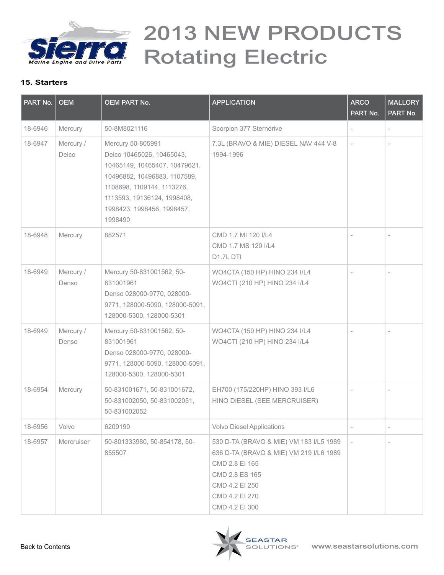

| PART No. | <b>OEM</b>         | <b>OEM PART No.</b>                                                                                                                                                                                                   | <b>APPLICATION</b>                                                                                                                                                           | <b>ARCO</b><br>PART No.  | <b>MALLORY</b><br>PART No. |
|----------|--------------------|-----------------------------------------------------------------------------------------------------------------------------------------------------------------------------------------------------------------------|------------------------------------------------------------------------------------------------------------------------------------------------------------------------------|--------------------------|----------------------------|
| 18-6946  | Mercury            | 50-8M8021116                                                                                                                                                                                                          | Scorpion 377 Sterndrive                                                                                                                                                      |                          |                            |
| 18-6947  | Mercury /<br>Delco | Mercury 50-805991<br>Delco 10465026, 10465043,<br>10465149, 10465407, 10479621,<br>10496882, 10496883, 1107589,<br>1108698, 1109144, 1113276,<br>1113593, 19136124, 1998408,<br>1998423, 1998456, 1998457,<br>1998490 | 7.3L (BRAVO & MIE) DIESEL NAV 444 V-8<br>1994-1996                                                                                                                           | $\overline{\phantom{a}}$ |                            |
| 18-6948  | Mercury            | 882571                                                                                                                                                                                                                | CMD 1.7 MI 120 I/L4<br>CMD 1.7 MS 120 I/L4<br>D1.7L DTI                                                                                                                      | $\overline{\phantom{a}}$ | $\overline{a}$             |
| 18-6949  | Mercury /<br>Denso | Mercury 50-831001562, 50-<br>831001961<br>Denso 028000-9770, 028000-<br>9771, 128000-5090, 128000-5091,<br>128000-5300, 128000-5301                                                                                   | WO4CTA (150 HP) HINO 234 I/L4<br>WO4CTI (210 HP) HINO 234 I/L4                                                                                                               |                          |                            |
| 18-6949  | Mercury /<br>Denso | Mercury 50-831001562, 50-<br>831001961<br>Denso 028000-9770, 028000-<br>9771, 128000-5090, 128000-5091,<br>128000-5300, 128000-5301                                                                                   | WO4CTA (150 HP) HINO 234 I/L4<br>WO4CTI (210 HP) HINO 234 I/L4                                                                                                               | $\overline{a}$           |                            |
| 18-6954  | Mercury            | 50-831001671, 50-831001672,<br>50-831002050, 50-831002051,<br>50-831002052                                                                                                                                            | EH700 (175/220HP) HINO 393 I/L6<br>HINO DIESEL (SEE MERCRUISER)                                                                                                              |                          |                            |
| 18-6956  | Volvo              | 6209190                                                                                                                                                                                                               | <b>Volvo Diesel Applications</b>                                                                                                                                             |                          |                            |
| 18-6957  | Mercruiser         | 50-801333980, 50-854178, 50-<br>855507                                                                                                                                                                                | 530 D-TA (BRAVO & MIE) VM 183 I/L5 1989<br>636 D-TA (BRAVO & MIE) VM 219 I/L6 1989<br>CMD 2.8 EI 165<br>CMD 2.8 ES 165<br>CMD 4.2 EI 250<br>CMD 4.2 EI 270<br>CMD 4.2 EI 300 |                          |                            |

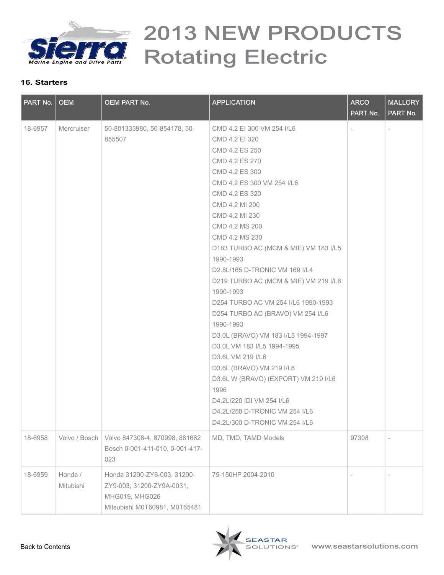

| PART No. | <b>OEM</b>           | <b>OEM PART No.</b>                                                                                         | <b>APPLICATION</b>                    | <b>ARCO</b><br>PART No.           | <b>MALLORY</b><br>PART No. |
|----------|----------------------|-------------------------------------------------------------------------------------------------------------|---------------------------------------|-----------------------------------|----------------------------|
| 18-6957  | Mercruiser           | 50-801333980, 50-854178, 50-                                                                                | CMD 4.2 EI 300 VM 254 I/L6            |                                   |                            |
|          |                      | 855507                                                                                                      | CMD 4.2 EI 320                        | 97308<br>$\overline{\phantom{a}}$ |                            |
|          |                      |                                                                                                             | CMD 4.2 ES 250                        |                                   |                            |
|          |                      |                                                                                                             | CMD 4.2 ES 270                        |                                   |                            |
|          |                      |                                                                                                             | CMD 4.2 ES 300                        |                                   |                            |
|          |                      |                                                                                                             | CMD 4.2 ES 300 VM 254 I/L6            |                                   |                            |
|          |                      |                                                                                                             | CMD 4.2 ES 320                        |                                   |                            |
|          |                      |                                                                                                             | CMD 4.2 MI 200                        |                                   |                            |
|          |                      |                                                                                                             | CMD 4.2 MI 230                        |                                   |                            |
|          |                      |                                                                                                             | CMD 4.2 MS 200                        |                                   |                            |
|          |                      |                                                                                                             | CMD 4.2 MS 230                        |                                   |                            |
|          |                      |                                                                                                             | D183 TURBO AC (MCM & MIE) VM 183 I/L5 |                                   |                            |
|          |                      |                                                                                                             | 1990-1993                             |                                   |                            |
|          |                      |                                                                                                             | D2.8L/165 D-TRONIC VM 169 I/L4        |                                   |                            |
|          |                      |                                                                                                             | D219 TURBO AC (MCM & MIE) VM 219 I/L6 |                                   |                            |
|          |                      |                                                                                                             | 1990-1993                             |                                   |                            |
|          |                      |                                                                                                             | D254 TURBO AC VM 254 I/L6 1990-1993   |                                   |                            |
|          |                      |                                                                                                             | D254 TURBO AC (BRAVO) VM 254 I/L6     |                                   |                            |
|          |                      |                                                                                                             | 1990-1993                             |                                   |                            |
|          |                      |                                                                                                             | D3.0L (BRAVO) VM 183 I/L5 1994-1997   |                                   |                            |
|          |                      |                                                                                                             | D3.0L VM 183 I/L5 1994-1995           |                                   |                            |
|          |                      |                                                                                                             | D3.6L VM 219 I/L6                     |                                   |                            |
|          |                      |                                                                                                             | D3.6L (BRAVO) VM 219 I/L6             |                                   |                            |
|          |                      |                                                                                                             | D3.6L W (BRAVO) (EXPORT) VM 219 I/L6  |                                   |                            |
|          |                      |                                                                                                             | 1996                                  |                                   |                            |
|          |                      |                                                                                                             | D4.2L/220 IDI VM 254 I/L6             |                                   |                            |
|          |                      |                                                                                                             | D4.2L/250 D-TRONIC VM 254 I/L6        |                                   |                            |
|          |                      |                                                                                                             | D4.2L/300 D-TRONIC VM 254 I/L6        |                                   |                            |
| 18-6958  | Volvo / Bosch        | Volvo 847308-4, 870998, 881682<br>Bosch 0-001-411-010, 0-001-417-<br>023                                    | MD, TMD, TAMD Models                  |                                   | $\overline{\phantom{a}}$   |
| 18-6959  | Honda /<br>Mitubishi | Honda 31200-ZY6-003, 31200-<br>ZY9-003, 31200-ZY9A-0031,<br>MHG019, MHG026<br>Mitsubishi M0T60981, M0T65481 | 75-150HP 2004-2010                    |                                   | $\overline{\phantom{a}}$   |

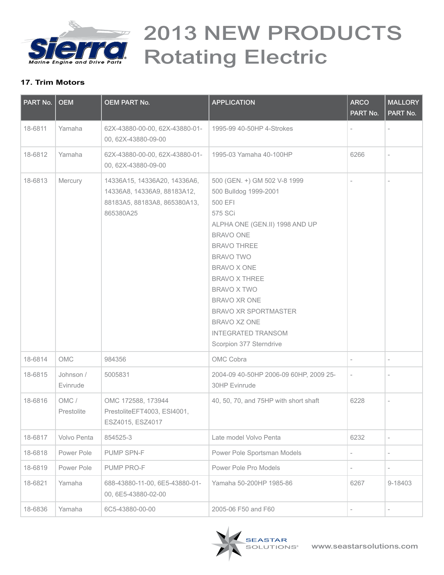<span id="page-16-0"></span>

### **17. Trim Motors**

| PART No. | <b>OEM</b>            | <b>OEM PART No.</b>                                                                                      | <b>APPLICATION</b>                                                                                                                                                                                                                                                                                                                                              | <b>ARCO</b><br>PART No.  | <b>MALLORY</b><br>PART No. |
|----------|-----------------------|----------------------------------------------------------------------------------------------------------|-----------------------------------------------------------------------------------------------------------------------------------------------------------------------------------------------------------------------------------------------------------------------------------------------------------------------------------------------------------------|--------------------------|----------------------------|
| 18-6811  | Yamaha                | 62X-43880-00-00, 62X-43880-01-<br>00, 62X-43880-09-00                                                    | 1995-99 40-50HP 4-Strokes                                                                                                                                                                                                                                                                                                                                       |                          |                            |
| 18-6812  | Yamaha                | 62X-43880-00-00, 62X-43880-01-<br>00, 62X-43880-09-00                                                    | 1995-03 Yamaha 40-100HP                                                                                                                                                                                                                                                                                                                                         | 6266                     |                            |
| 18-6813  | Mercury               | 14336A15, 14336A20, 14336A6,<br>14336A8, 14336A9, 88183A12,<br>88183A5, 88183A8, 865380A13,<br>865380A25 | 500 (GEN. +) GM 502 V-8 1999<br>500 Bulldog 1999-2001<br>500 EFI<br>575 SCi<br>ALPHA ONE (GEN.II) 1998 AND UP<br><b>BRAVO ONE</b><br><b>BRAVO THREE</b><br><b>BRAVO TWO</b><br>BRAVO X ONE<br><b>BRAVO X THREE</b><br><b>BRAVO X TWO</b><br>BRAVO XR ONE<br><b>BRAVO XR SPORTMASTER</b><br>BRAVO XZ ONE<br><b>INTEGRATED TRANSOM</b><br>Scorpion 377 Sterndrive |                          |                            |
| 18-6814  | OMC                   | 984356                                                                                                   | OMC Cobra                                                                                                                                                                                                                                                                                                                                                       |                          |                            |
| 18-6815  | Johnson /<br>Evinrude | 5005831                                                                                                  | 2004-09 40-50HP 2006-09 60HP, 2009 25-<br>30HP Evinrude                                                                                                                                                                                                                                                                                                         | $\overline{\phantom{a}}$ | $\overline{\phantom{a}}$   |
| 18-6816  | OMC/<br>Prestolite    | OMC 172588, 173944<br>PrestoliteEFT4003, ESI4001,<br>ESZ4015, ESZ4017                                    | 40, 50, 70, and 75HP with short shaft                                                                                                                                                                                                                                                                                                                           | 6228                     | $\overline{\phantom{a}}$   |
| 18-6817  | Volvo Penta           | 854525-3                                                                                                 | Late model Volvo Penta                                                                                                                                                                                                                                                                                                                                          | 6232                     | $\overline{\phantom{a}}$   |
| 18-6818  | Power Pole            | PUMP SPN-F                                                                                               | Power Pole Sportsman Models                                                                                                                                                                                                                                                                                                                                     | $\overline{a}$           | $\overline{\phantom{a}}$   |
| 18-6819  | Power Pole            | PUMP PRO-F                                                                                               | Power Pole Pro Models                                                                                                                                                                                                                                                                                                                                           | $\overline{\phantom{0}}$ | $\overline{\phantom{a}}$   |
| 18-6821  | Yamaha                | 688-43880-11-00, 6E5-43880-01-<br>00, 6E5-43880-02-00                                                    | Yamaha 50-200HP 1985-86                                                                                                                                                                                                                                                                                                                                         | 6267                     | 9-18403                    |
| 18-6836  | Yamaha                | 6C5-43880-00-00                                                                                          | 2005-06 F50 and F60                                                                                                                                                                                                                                                                                                                                             |                          |                            |

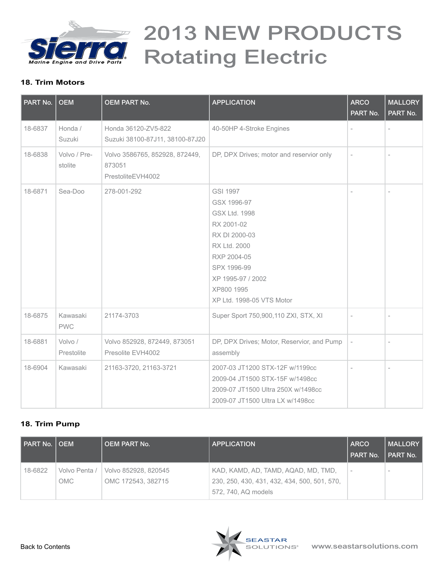<span id="page-17-0"></span>

#### **18. Trim Motors**

| PART No. | <b>OEM</b>              | <b>OEM PART No.</b>                                           | <b>APPLICATION</b>                                                                                                                                                                                         | <b>ARCO</b><br>PART No. | <b>MALLORY</b><br>PART No. |
|----------|-------------------------|---------------------------------------------------------------|------------------------------------------------------------------------------------------------------------------------------------------------------------------------------------------------------------|-------------------------|----------------------------|
| 18-6837  | Honda /<br>Suzuki       | Honda 36120-ZV5-822<br>Suzuki 38100-87J11, 38100-87J20        | 40-50HP 4-Stroke Engines                                                                                                                                                                                   |                         |                            |
| 18-6838  | Volvo / Pre-<br>stolite | Volvo 3586765, 852928, 872449,<br>873051<br>PrestoliteEVH4002 | DP, DPX Drives; motor and reservior only                                                                                                                                                                   | $\overline{a}$          | $\overline{a}$             |
| 18-6871  | Sea-Doo                 | 278-001-292                                                   | <b>GSI 1997</b><br>GSX 1996-97<br><b>GSX Ltd. 1998</b><br>RX 2001-02<br>RX DI 2000-03<br><b>RX Ltd. 2000</b><br>RXP 2004-05<br>SPX 1996-99<br>XP 1995-97 / 2002<br>XP800 1995<br>XP Ltd. 1998-05 VTS Motor |                         |                            |
| 18-6875  | Kawasaki<br><b>PWC</b>  | 21174-3703                                                    | Super Sport 750,900,110 ZXI, STX, XI                                                                                                                                                                       |                         |                            |
| 18-6881  | Volvo /<br>Prestolite   | Volvo 852928, 872449, 873051<br>Presolite EVH4002             | DP, DPX Drives; Motor, Reservior, and Pump<br>assembly                                                                                                                                                     |                         |                            |
| 18-6904  | Kawasaki                | 21163-3720, 21163-3721                                        | 2007-03 JT1200 STX-12F w/1199cc<br>2009-04 JT1500 STX-15F w/1498cc<br>2009-07 JT1500 Ultra 250X w/1498cc<br>2009-07 JT1500 Ultra LX w/1498cc                                                               |                         |                            |

#### **18. Trim Pump**

| PART No. | OEM           | <b>OEM PART No.</b>  | <b>APPLICATION</b>                           | <b>ARCO</b><br>PART No.  | <b>MALLORY</b><br>l PART No. |
|----------|---------------|----------------------|----------------------------------------------|--------------------------|------------------------------|
| 18-6822  | Volvo Penta / | Volvo 852928, 820545 | KAD, KAMD, AD, TAMD, AQAD, MD, TMD,          | $\overline{\phantom{a}}$ | $\sim$                       |
|          | OMC.          | OMC 172543, 382715   | 230, 250, 430, 431, 432, 434, 500, 501, 570, |                          |                              |
|          |               |                      | 572, 740, AQ models                          |                          |                              |

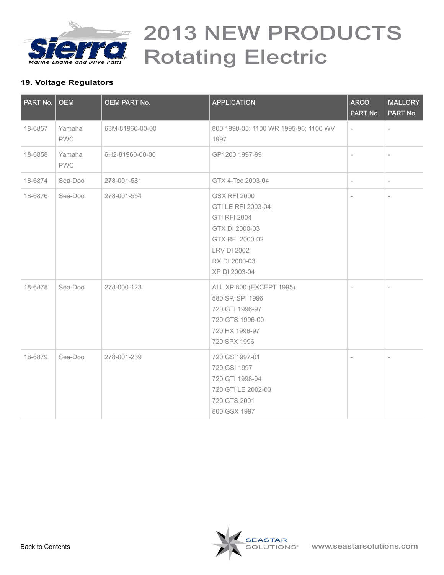<span id="page-18-0"></span>

### **19. Voltage Regulators**

| PART No. | <b>OEM</b>           | <b>OEM PART No.</b> | <b>APPLICATION</b>                                                                                                                                            | <b>ARCO</b><br>PART No.  | <b>MALLORY</b><br>PART No. |
|----------|----------------------|---------------------|---------------------------------------------------------------------------------------------------------------------------------------------------------------|--------------------------|----------------------------|
| 18-6857  | Yamaha<br><b>PWC</b> | 63M-81960-00-00     | 800 1998-05; 1100 WR 1995-96; 1100 WV<br>1997                                                                                                                 |                          |                            |
| 18-6858  | Yamaha<br><b>PWC</b> | 6H2-81960-00-00     | GP1200 1997-99                                                                                                                                                |                          |                            |
| 18-6874  | Sea-Doo              | 278-001-581         | GTX 4-Tec 2003-04                                                                                                                                             |                          |                            |
| 18-6876  | Sea-Doo              | 278-001-554         | <b>GSX RFI 2000</b><br>GTI LE RFI 2003-04<br><b>GTI RFI 2004</b><br>GTX DI 2000-03<br>GTX RFI 2000-02<br><b>LRV DI 2002</b><br>RX DI 2000-03<br>XP DI 2003-04 | $\overline{\phantom{0}}$ |                            |
| 18-6878  | Sea-Doo              | 278-000-123         | ALL XP 800 (EXCEPT 1995)<br>580 SP, SPI 1996<br>720 GTI 1996-97<br>720 GTS 1996-00<br>720 HX 1996-97<br>720 SPX 1996                                          | $\overline{\phantom{a}}$ | $\overline{\phantom{a}}$   |
| 18-6879  | Sea-Doo              | 278-001-239         | 720 GS 1997-01<br>720 GSI 1997<br>720 GTI 1998-04<br>720 GTI LE 2002-03<br>720 GTS 2001<br>800 GSX 1997                                                       | $\overline{a}$           | $\overline{a}$             |